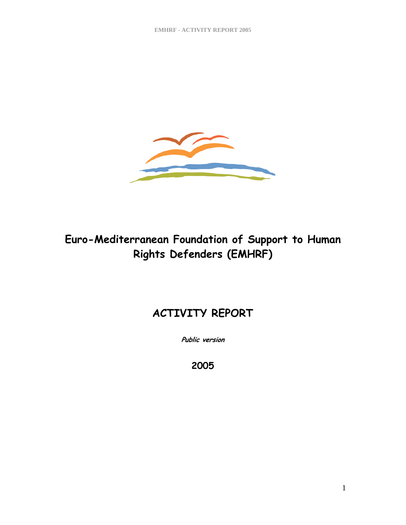

# **Euro-Mediterranean Foundation of Support to Human Rights Defenders (EMHRF)**

# **ACTIVITY REPORT**

**Public version** 

**2005**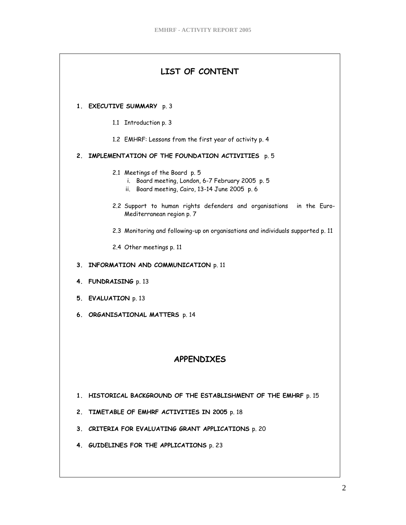| LIST OF CONTENT                                                                                                                      |  |  |  |
|--------------------------------------------------------------------------------------------------------------------------------------|--|--|--|
| 1. EXECUTIVE SUMMARY p. 3                                                                                                            |  |  |  |
| 1.1 Introduction p. 3                                                                                                                |  |  |  |
| 1.2 EMHRF: Lessons from the first year of activity p. 4                                                                              |  |  |  |
| 2. IMPLEMENTATION OF THE FOUNDATION ACTIVITIES p. 5                                                                                  |  |  |  |
| 2.1 Meetings of the Board p. 5<br>i. Board meeting, London, 6-7 February 2005 p. 5<br>ii. Board meeting, Cairo, 13-14 June 2005 p. 6 |  |  |  |
| 2.2 Support to human rights defenders and organisations in the Euro-<br>Mediterranean region p. 7                                    |  |  |  |
| 2.3 Monitoring and following-up on organisations and individuals supported p. 11                                                     |  |  |  |
| 2.4 Other meetings p. 11                                                                                                             |  |  |  |
| 3. INFORMATION AND COMMUNICATION p. 11                                                                                               |  |  |  |
| 4. FUNDRAISING p. 13                                                                                                                 |  |  |  |
| 5. EVALUATION p. 13                                                                                                                  |  |  |  |
| 6. ORGANISATIONAL MATTERS p. 14                                                                                                      |  |  |  |
|                                                                                                                                      |  |  |  |
|                                                                                                                                      |  |  |  |
| <b>APPENDIXES</b>                                                                                                                    |  |  |  |
| 1. HISTORICAL BACKGROUND OF THE ESTABLISHMENT OF THE EMHRF p. 15                                                                     |  |  |  |
| 2. TIMETABLE OF EMHRF ACTIVITIES IN 2005 p. 18                                                                                       |  |  |  |
| 3. CRITERIA FOR EVALUATING GRANT APPLICATIONS p. 20                                                                                  |  |  |  |
| 4. GUIDELINES FOR THE APPLICATIONS p. 23                                                                                             |  |  |  |
|                                                                                                                                      |  |  |  |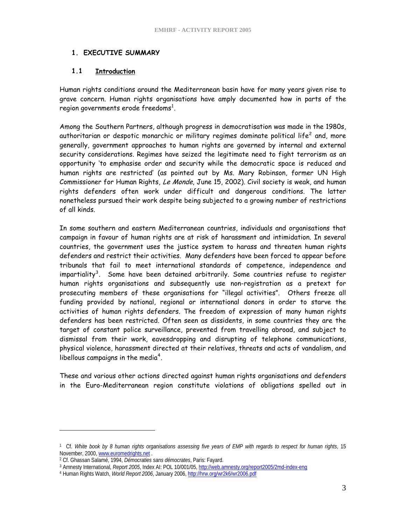## **1. EXECUTIVE SUMMARY**

## **1.1 Introduction**

Human rights conditions around the Mediterranean basin have for many years given rise to grave concern. Human rights organisations have amply documented how in parts of the region governments erode freedoms $^{\rm 1}.$  $^{\rm 1}.$  $^{\rm 1}.$ 

Among the Southern Partners, although progress in democratisation was made in the 1980s, authoritarian or despotic monarchic or military regimes dominate political life $^2$  $^2$  and, more generally, government approaches to human rights are governed by internal and external security considerations. Regimes have seized the legitimate need to fight terrorism as an opportunity 'to emphasise order and security while the democratic space is reduced and human rights are restricted' (as pointed out by Ms. Mary Robinson, former UN High Commissioner for Human Rights, Le Monde, June 15, 2002). Civil society is weak, and human rights defenders often work under difficult and dangerous conditions. The latter nonetheless pursued their work despite being subjected to a growing number of restrictions of all kinds.

In some southern and eastern Mediterranean countries, individuals and organisations that campaign in favour of human rights are at risk of harassment and intimidation. In several countries, the government uses the justice system to harass and threaten human rights defenders and restrict their activities. Many defenders have been forced to appear before tribunals that fail to meet international standards of competence, independence and impartiality<sup>[3](#page-2-2)</sup>. Some have been detained arbitrarily. Some countries refuse to register human rights organisations and subsequently use non-registration as a pretext for prosecuting members of these organisations for "illegal activities". Others freeze all funding provided by national, regional or international donors in order to starve the activities of human rights defenders. The freedom of expression of many human rights defenders has been restricted. Often seen as dissidents, in some countries they are the target of constant police surveillance, prevented from travelling abroad, and subject to dismissal from their work, eavesdropping and disrupting of telephone communications, physical violence, harassment directed at their relatives, threats and acts of vandalism, and libellous campaigns in the media $4$ .

These and various other actions directed against human rights organisations and defenders in the Euro-Mediterranean region constitute violations of obligations spelled out in

 $\overline{a}$ 

<span id="page-2-0"></span><sup>1</sup> Cf. *White book by 8 human rights organisations assessing five years of EMP with regards to respect for human rights*, 15 November, 2000, <u>[www.euromedrights.net](http://www.euromedrights.net/)</u> .<br><sup>2</sup> Cf. Ghassan Sal[amé, 1994,](http://www.euromedrights.net/) *Démocraties sans démocrates*, Paris: Fayard.<br><sup>3</sup> Amnesty International*, Report 2005*, Index AI: POL 10/00[1/05,](http://hrw.org/wr2k6/wr2006.pdf) <u>http://web.amnesty.org/report2005/2m</u>

<span id="page-2-1"></span>

<span id="page-2-3"></span><span id="page-2-2"></span>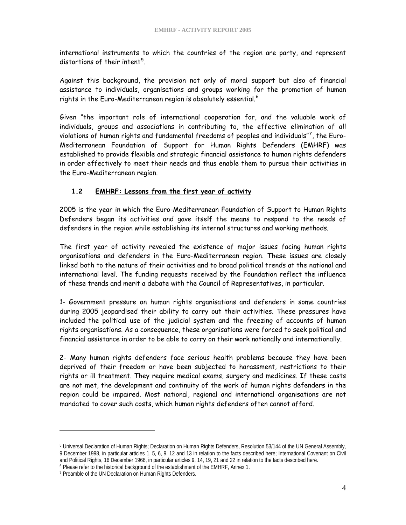international instruments to which the countries of the region are party, and represent distortions of their intent<sup>[5](#page-3-0)</sup>.

Against this background, the provision not only of moral support but also of financial assistance to individuals, organisations and groups working for the promotion of human rights in the Euro-Mediterranean region is absolutely essential. $^6$  $^6$ 

Given "the important role of international cooperation for, and the valuable work of individuals, groups and associations in contributing to, the effective elimination of all violations of human rights and fundamental freedoms of peoples and individuals"[7](#page-3-2) , the Euro-Mediterranean Foundation of Support for Human Rights Defenders (EMHRF) was established to provide flexible and strategic financial assistance to human rights defenders in order effectively to meet their needs and thus enable them to pursue their activities in the Euro-Mediterranean region.

## **1.2 EMHRF: Lessons from the first year of activity**

2005 is the year in which the Euro-Mediterranean Foundation of Support to Human Rights Defenders began its activities and gave itself the means to respond to the needs of defenders in the region while establishing its internal structures and working methods.

The first year of activity revealed the existence of major issues facing human rights organisations and defenders in the Euro-Mediterranean region. These issues are closely linked both to the nature of their activities and to broad political trends at the national and international level. The funding requests received by the Foundation reflect the influence of these trends and merit a debate with the Council of Representatives, in particular.

1- Government pressure on human rights organisations and defenders in some countries during 2005 jeopardised their ability to carry out their activities. These pressures have included the political use of the judicial system and the freezing of accounts of human rights organisations. As a consequence, these organisations were forced to seek political and financial assistance in order to be able to carry on their work nationally and internationally.

2- Many human rights defenders face serious health problems because they have been deprived of their freedom or have been subjected to harassment, restrictions to their rights or ill treatment. They require medical exams, surgery and medicines. If these costs are not met, the development and continuity of the work of human rights defenders in the region could be impaired. Most national, regional and international organisations are not mandated to cover such costs, which human rights defenders often cannot afford.

 $\overline{a}$ 

<span id="page-3-0"></span><sup>5</sup> Universal Declaration of Human Rights; Declaration on Human Rights Defenders, Resolution 53/144 of the UN General Assembly, 9 December 1998, in particular articles 1, 5, 6, 9, 12 and 13 in relation to the facts described here; International Covenant on Civil and Political Rights, 16 December 1966, in particular articles 9, 14, 19, 21 and 22 in relation to the facts described here.

<span id="page-3-1"></span><sup>&</sup>lt;sup>6</sup> Please refer to the historical background of the establishment of the EMHRF, Annex 1.

<span id="page-3-2"></span><sup>&</sup>lt;sup>7</sup> Preamble of the UN Declaration on Human Rights Defenders.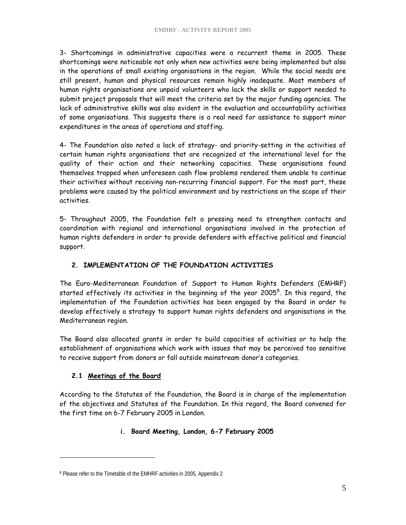3- Shortcomings in administrative capacities were a recurrent theme in 2005. These shortcomings were noticeable not only when new activities were being implemented but also in the operations of small existing organisations in the region. While the social needs are still present, human and physical resources remain highly inadequate. Most members of human rights organisations are unpaid volunteers who lack the skills or support needed to submit project proposals that will meet the criteria set by the major funding agencies. The lack of administrative skills was also evident in the evaluation and accountability activities of some organisations. This suggests there is a real need for assistance to support minor expenditures in the areas of operations and staffing.

4- The Foundation also noted a lack of strategy- and priority-setting in the activities of certain human rights organisations that are recognized at the international level for the quality of their action and their networking capacities. These organisations found themselves trapped when unforeseen cash flow problems rendered them unable to continue their activities without receiving non-recurring financial support. For the most part, these problems were caused by the political environment and by restrictions on the scope of their activities.

5- Throughout 2005, the Foundation felt a pressing need to strengthen contacts and coordination with regional and international organisations involved in the protection of human rights defenders in order to provide defenders with effective political and financial support.

## **2. IMPLEMENTATION OF THE FOUNDATION ACTIVITIES**

The Euro-Mediterranean Foundation of Support to Human Rights Defenders (EMHRF) started effectively its activities in the beginning of the year 2005<sup>[8](#page-4-0)</sup>. In this regard, the implementation of the Foundation activities has been engaged by the Board in order to develop effectively a strategy to support human rights defenders and organisations in the Mediterranean region.

The Board also allocated grants in order to build capacities of activities or to help the establishment of organisations which work with issues that may be perceived too sensitive to receive support from donors or fall outside mainstream donor's categories.

## **2.1 Meetings of the Board**

 $\overline{a}$ 

According to the Statutes of the Foundation, the Board is in charge of the implementation of the objectives and Statutes of the Foundation. In this regard, the Board convened for the first time on 6-7 February 2005 in London.

## **i. Board Meeting, London, 6-7 February 2005**

<span id="page-4-0"></span><sup>8</sup> Please refer to the Timetable of the EMHRF activities in 2005, Appendix 2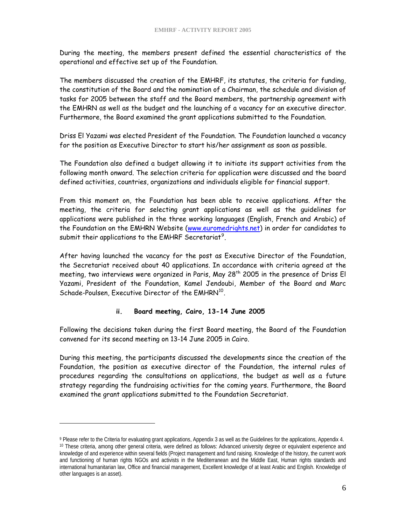During the meeting, the members present defined the essential characteristics of the operational and effective set up of the Foundation.

The members discussed the creation of the EMHRF, its statutes, the criteria for funding, the constitution of the Board and the nomination of a Chairman, the schedule and division of tasks for 2005 between the staff and the Board members, the partnership agreement with the EMHRN as well as the budget and the launching of a vacancy for an executive director. Furthermore, the Board examined the grant applications submitted to the Foundation.

Driss El Yazami was elected President of the Foundation. The Foundation launched a vacancy for the position as Executive Director to start his/her assignment as soon as possible.

The Foundation also defined a budget allowing it to initiate its support activities from the following month onward. The selection criteria for application were discussed and the board defined activities, countries, organizations and individuals eligible for financial support.

From this moment on, the Foundation has been able to receive applications. After the meeting, the criteria for selecting grant applications as well as the guidelines for applications were published in the three working languages (English, French and Arabic) of the Foundation on the EMHRN Website [\(www.euromedrights.net](http://www.euromedrights.net/)) in order for candidates to submit their applications to the EMHRF Secretariat<sup>[9](#page-5-0)</sup>.

After having launched the vacancy for the post as Executive Director of the Foundation, the Secretariat received about 40 applications. In accordance with criteria agreed at the meeting, two interviews were organized in Paris, May 28<sup>th</sup> 2005 in the presence of Driss El Yazami, President of the Foundation, Kamel Jendoubi, Member of the Board and Marc Schade-Poulsen, Executive Director of the EMHRN<sup>[10](#page-5-1)</sup>.

## **ii. Board meeting, Cairo, 13-14 June 2005**

Following the decisions taken during the first Board meeting, the Board of the Foundation convened for its second meeting on 13-14 June 2005 in Cairo.

During this meeting, the participants discussed the developments since the creation of the Foundation, the position as executive director of the Foundation, the internal rules of procedures regarding the consultations on applications, the budget as well as a future strategy regarding the fundraising activities for the coming years. Furthermore, the Board examined the grant applications submitted to the Foundation Secretariat.

 $\overline{a}$ 

<span id="page-5-1"></span><span id="page-5-0"></span><sup>&</sup>lt;sup>9</sup> Please refer to the Criteria for evaluating grant applications, Appendix 3 as well as the Guidelines for the applications, Appendix 4.<br><sup>10</sup> These criteria, among other general criteria, were defined as follows: Advance knowledge of and experience within several fields (Project management and fund raising. Knowledge of the history, the current work and functioning of human rights NGOs and activists in the Mediterranean and the Middle East, Human rights standards and international humanitarian law, Office and financial management, Excellent knowledge of at least Arabic and English. Knowledge of other languages is an asset).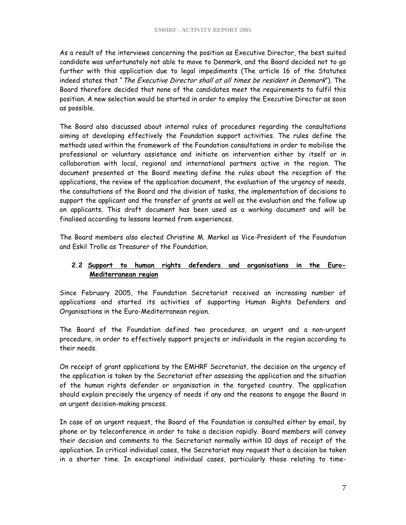As a result of the interviews concerning the position as Executive Director, the best suited candidate was unfortunately not able to move to Denmark, and the Board decided not to go further with this application due to legal impediments (The article 16 of the Statutes indeed states that " The Executive Director shall at all times be resident in Denmark"). The Board therefore decided that none of the candidates meet the requirements to fulfil this position. A new selection would be started in order to employ the Executive Director as soon as possible.

The Board also discussed about internal rules of procedures regarding the consultations aiming at developing effectively the Foundation support activities. The rules define the methods used within the framework of the Foundation consultations in order to mobilise the professional or voluntary assistance and initiate an intervention either by itself or in collaboration with local, regional and international partners active in the region. The document presented at the Board meeting define the rules about the reception of the applications, the review of the application document, the evaluation of the urgency of needs, the consultations of the Board and the division of tasks, the implementation of decisions to support the applicant and the transfer of grants as well as the evaluation and the follow up on applicants. This draft document has been used as a working document and will be finalised according to lessons learned from experiences.

The Board members also elected Christine M. Merkel as Vice-President of the Foundation and Eskil Trolle as Treasurer of the Foundation.

# **2.2 Support to human rights defenders and organisations in the Euro-Mediterranean region**

Since February 2005, the Foundation Secretariat received an increasing number of applications and started its activities of supporting Human Rights Defenders and Organisations in the Euro-Mediterranean region.

The Board of the Foundation defined two procedures, an urgent and a non-urgent procedure, in order to effectively support projects or individuals in the region according to their needs.

On receipt of grant applications by the EMHRF Secretariat, the decision on the urgency of the application is taken by the Secretariat after assessing the application and the situation of the human rights defender or organisation in the targeted country. The application should explain precisely the urgency of needs if any and the reasons to engage the Board in an urgent decision-making process.

In case of an urgent request, the Board of the Foundation is consulted either by email, by phone or by teleconference in order to take a decision rapidly. Board members will convey their decision and comments to the Secretariat normally within 10 days of receipt of the application. In critical individual cases, the Secretariat may request that a decision be taken in a shorter time. In exceptional individual cases, particularly those relating to time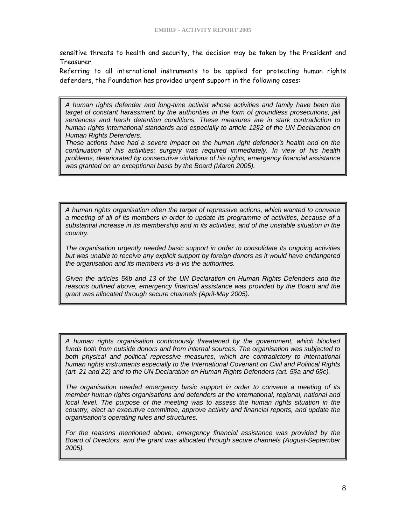sensitive threats to health and security, the decision may be taken by the President and Treasurer.

Referring to all international instruments to be applied for protecting human rights defenders, the Foundation has provided urgent support in the following cases:

*A human rights defender and long-time activist whose activities and family have been the target of constant harassment by the authorities in the form of groundless prosecutions, jail sentences and harsh detention conditions. These measures are in stark contradiction to human rights international standards and especially to article 12§2 of the UN Declaration on Human Rights Defenders.* 

*These actions have had a severe impact on the human right defender's health and on the continuation of his activities; surgery was required immediately. In view of his health problems, deteriorated by consecutive violations of his rights, emergency financial assistance was granted on an exceptional basis by the Board (March 2005).* 

*A human rights organisation often the target of repressive actions, which wanted to convene a meeting of all of its members in order to update its programme of activities, because of a substantial increase in its membership and in its activities, and of the unstable situation in the country.* 

*The organisation urgently needed basic support in order to consolidate its ongoing activities but was unable to receive any explicit support by foreign donors as it would have endangered the organisation and its members vis-à-vis the authorities.*

*Given the articles 5§b and 13 of the UN Declaration on Human Rights Defenders and the reasons outlined above, emergency financial assistance was provided by the Board and the grant was allocated through secure channels (April-May 2005).* 

*A human rights organisation continuously threatened by the government, which blocked funds both from outside donors and from internal sources. The organisation was subjected to*  both physical and political repressive measures, which are contradictory to international *human rights instruments especially to the International Covenant on Civil and Political Rights (art. 21 and 22) and to the UN Declaration on Human Rights Defenders (art. 5§a and 6§c).* 

*The organisation needed emergency basic support in order to convene a meeting of its member human rights organisations and defenders at the international, regional, national and*  local level. The purpose of the meeting was to assess the human rights situation in the *country, elect an executive committee, approve activity and financial reports, and update the organisation's operating rules and structures.* 

*For the reasons mentioned above, emergency financial assistance was provided by the Board of Directors, and the grant was allocated through secure channels (August-September 2005).*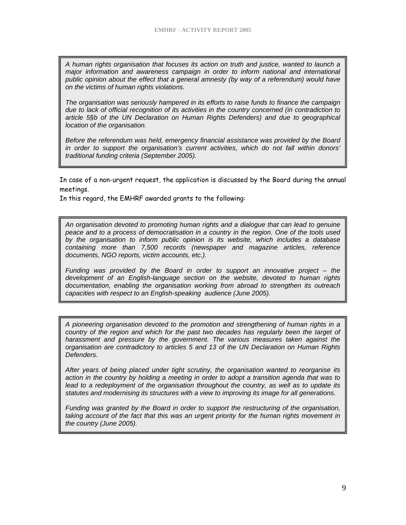*A human rights organisation that focuses its action on truth and justice, wanted to launch a major information and awareness campaign in order to inform national and international public opinion about the effect that a general amnesty (by way of a referendum) would have on the victims of human rights violations.* 

*The organisation was seriously hampered in its efforts to raise funds to finance the campaign due to lack of official recognition of its activities in the country concerned (in contradiction to article 5§b of the UN Declaration on Human Rights Defenders) and due to geographical location of the organisation.* 

*Before the referendum was held, emergency financial assistance was provided by the Board in order to support the organisation's current activities, which do not fall within donors' traditional funding criteria (September 2005).* 

In case of a non-urgent request, the application is discussed by the Board during the annual meetings.

In this regard, the EMHRF awarded grants to the following:

*An organisation devoted to promoting human rights and a dialogue that can lead to genuine peace and to a process of democratisation in a country in the region. One of the tools used by the organisation to inform public opinion is its website, which includes a database containing more than 7,500 records (newspaper and magazine articles, reference documents, NGO reports, victim accounts, etc.).* 

*Funding was provided by the Board in order to support an innovative project – the development of an English-language section on the website, devoted to human rights documentation, enabling the organisation working from abroad to strengthen its outreach capacities with respect to an English-speaking audience (June 2005).* 

*A pioneering organisation devoted to the promotion and strengthening of human rights in a country of the region and which for the past two decades has regularly been the target of harassment and pressure by the government. The various measures taken against the organisation are contradictory to articles 5 and 13 of the UN Declaration on Human Rights Defenders.* 

*After years of being placed under tight scrutiny, the organisation wanted to reorganise its action in the country by holding a meeting in order to adopt a transition agenda that was to*  lead to a redeployment of the organisation throughout the country, as well as to update its *statutes and modernising its structures with a view to improving its image for all generations.* 

*Funding was granted by the Board in order to support the restructuring of the organisation, taking account of the fact that this was an urgent priority for the human rights movement in the country (June 2005).*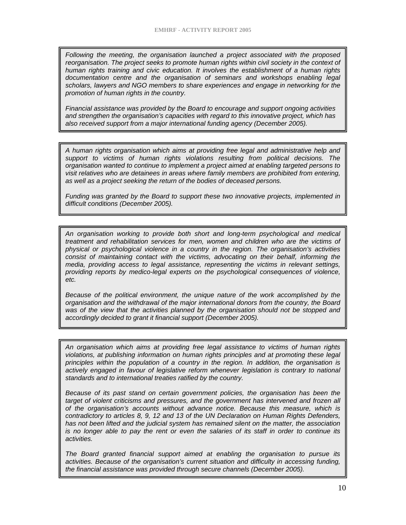*Following the meeting, the organisation launched a project associated with the proposed reorganisation. The project seeks to promote human rights within civil society in the context of human rights training and civic education. It involves the establishment of a human rights documentation centre and the organisation of seminars and workshops enabling legal scholars, lawyers and NGO members to share experiences and engage in networking for the promotion of human rights in the country.* 

*Financial assistance was provided by the Board to encourage and support ongoing activities and strengthen the organisation's capacities with regard to this innovative project, which has also received support from a major international funding agency (December 2005).*

*A human rights organisation which aims at providing free legal and administrative help and support to victims of human rights violations resulting from political decisions. The organisation wanted to continue to implement a project aimed at enabling targeted persons to visit relatives who are detainees in areas where family members are prohibited from entering, as well as a project seeking the return of the bodies of deceased persons.* 

*Funding was granted by the Board to support these two innovative projects, implemented in difficult conditions (December 2005).* 

*An organisation working to provide both short and long-term psychological and medical treatment and rehabilitation services for men, women and children who are the victims of physical or psychological violence in a country in the region. The organisation's activities consist of maintaining contact with the victims, advocating on their behalf, informing the media, providing access to legal assistance, representing the victims in relevant settings, providing reports by medico-legal experts on the psychological consequences of violence, etc.* 

*Because of the political environment, the unique nature of the work accomplished by the organisation and the withdrawal of the major international donors from the country, the Board was of the view that the activities planned by the organisation should not be stopped and accordingly decided to grant it financial support (December 2005).* 

*An organisation which aims at providing free legal assistance to victims of human rights violations, at publishing information on human rights principles and at promoting these legal principles within the population of a country in the region. In addition, the organisation is actively engaged in favour of legislative reform whenever legislation is contrary to national standards and to international treaties ratified by the country.* 

*Because of its past stand on certain government policies, the organisation has been the*  target of violent criticisms and pressures, and the government has intervened and frozen all *of the organisation's accounts without advance notice. Because this measure, which is contradictory to articles 8, 9, 12 and 13 of the UN Declaration on Human Rights Defenders, has not been lifted and the judicial system has remained silent on the matter, the association is no longer able to pay the rent or even the salaries of its staff in order to continue its activities.* 

*The Board granted financial support aimed at enabling the organisation to pursue its activities. Because of the organisation's current situation and difficulty in accessing funding, the financial assistance was provided through secure channels (December 2005).*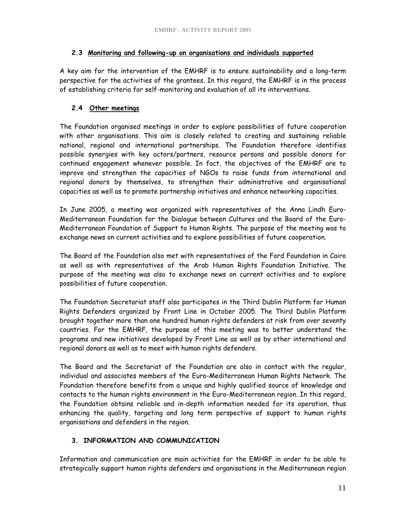## **2.3 Monitoring and following-up on organisations and individuals supported**

A key aim for the intervention of the EMHRF is to ensure sustainability and a long-term perspective for the activities of the grantees. In this regard, the EMHRF is in the process of establishing criteria for self-monitoring and evaluation of all its interventions.

# **2.4 Other meetings**

The Foundation organised meetings in order to explore possibilities of future cooperation with other organisations. This aim is closely related to creating and sustaining reliable national, regional and international partnerships. The Foundation therefore identifies possible synergies with key actors/partners, resource persons and possible donors for continued engagement whenever possible. In fact, the objectives of the EMHRF are to improve and strengthen the capacities of NGOs to raise funds from international and regional donors by themselves, to strengthen their administrative and organisational capacities as well as to promote partnership initiatives and enhance networking capacities.

In June 2005, a meeting was organized with representatives of the Anna Lindh Euro-Mediterranean Foundation for the Dialogue between Cultures and the Board of the Euro-Mediterranean Foundation of Support to Human Rights. The purpose of the meeting was to exchange news on current activities and to explore possibilities of future cooperation.

The Board of the Foundation also met with representatives of the Ford Foundation in Cairo as well as with representatives of the Arab Human Rights Foundation Initiative. The purpose of the meeting was also to exchange news on current activities and to explore possibilities of future cooperation.

The Foundation Secretariat staff also participates in the Third Dublin Platform for Human Rights Defenders organized by Front Line in October 2005. The Third Dublin Platform brought together more than one hundred human rights defenders at risk from over seventy countries. For the EMHRF, the purpose of this meeting was to better understand the programs and new initiatives developed by Front Line as well as by other international and regional donors as well as to meet with human rights defenders.

The Board and the Secretariat of the Foundation are also in contact with the regular, individual and associates members of the Euro-Mediterranean Human Rights Network. The Foundation therefore benefits from a unique and highly qualified source of knowledge and contacts to the human rights environment in the Euro-Mediterranean region. In this regard, the Foundation obtains reliable and in-depth information needed for its operation, thus enhancing the quality, targeting and long term perspective of support to human rights organisations and defenders in the region.

## **3. INFORMATION AND COMMUNICATION**

Information and communication are main activities for the EMHRF in order to be able to strategically support human rights defenders and organisations in the Mediterranean region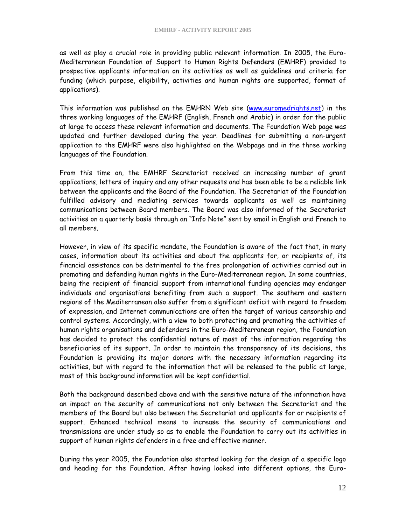as well as play a crucial role in providing public relevant information. In 2005, the Euro-Mediterranean Foundation of Support to Human Rights Defenders (EMHRF) provided to prospective applicants information on its activities as well as guidelines and criteria for funding (which purpose, eligibility, activities and human rights are supported, format of applications).

This information was published on the EMHRN Web site ([www.euromedrights.net\)](http://www.euromedrights.net/) in the three working languages of the EMHRF (English, French and Arabic) in order for the public at large to access these relevant information and documents. The Foundation Web page was updated and further developed during the year. Deadlines for submitting a non-urgent application to the EMHRF were also highlighted on the Webpage and in the three working languages of the Foundation.

From this time on, the EMHRF Secretariat received an increasing number of grant applications, letters of inquiry and any other requests and has been able to be a reliable link between the applicants and the Board of the Foundation. The Secretariat of the Foundation fulfilled advisory and mediating services towards applicants as well as maintaining communications between Board members. The Board was also informed of the Secretariat activities on a quarterly basis through an "Info Note" sent by email in English and French to all members.

However, in view of its specific mandate, the Foundation is aware of the fact that, in many cases, information about its activities and about the applicants for, or recipients of, its financial assistance can be detrimental to the free prolongation of activities carried out in promoting and defending human rights in the Euro-Mediterranean region. In some countries, being the recipient of financial support from international funding agencies may endanger individuals and organisations benefiting from such a support. The southern and eastern regions of the Mediterranean also suffer from a significant deficit with regard to freedom of expression, and Internet communications are often the target of various censorship and control systems. Accordingly, with a view to both protecting and promoting the activities of human rights organisations and defenders in the Euro-Mediterranean region, the Foundation has decided to protect the confidential nature of most of the information regarding the beneficiaries of its support. In order to maintain the transparency of its decisions, the Foundation is providing its major donors with the necessary information regarding its activities, but with regard to the information that will be released to the public at large, most of this background information will be kept confidential.

Both the background described above and with the sensitive nature of the information have an impact on the security of communications not only between the Secretariat and the members of the Board but also between the Secretariat and applicants for or recipients of support. Enhanced technical means to increase the security of communications and transmissions are under study so as to enable the Foundation to carry out its activities in support of human rights defenders in a free and effective manner.

During the year 2005, the Foundation also started looking for the design of a specific logo and heading for the Foundation. After having looked into different options, the Euro-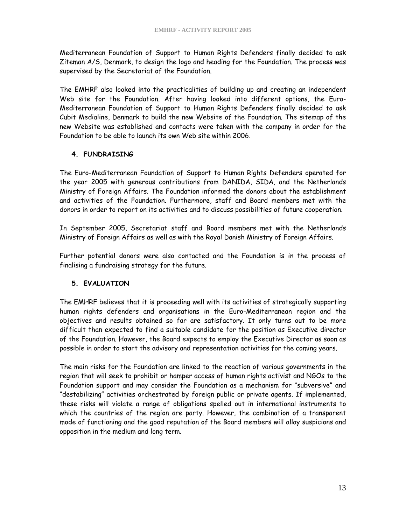Mediterranean Foundation of Support to Human Rights Defenders finally decided to ask Ziteman A/S, Denmark, to design the logo and heading for the Foundation. The process was supervised by the Secretariat of the Foundation.

The EMHRF also looked into the practicalities of building up and creating an independent Web site for the Foundation. After having looked into different options, the Euro-Mediterranean Foundation of Support to Human Rights Defenders finally decided to ask Cubit Medialine, Denmark to build the new Website of the Foundation. The sitemap of the new Website was established and contacts were taken with the company in order for the Foundation to be able to launch its own Web site within 2006.

## **4. FUNDRAISING**

The Euro-Mediterranean Foundation of Support to Human Rights Defenders operated for the year 2005 with generous contributions from DANIDA, SIDA, and the Netherlands Ministry of Foreign Affairs. The Foundation informed the donors about the establishment and activities of the Foundation. Furthermore, staff and Board members met with the donors in order to report on its activities and to discuss possibilities of future cooperation.

In September 2005, Secretariat staff and Board members met with the Netherlands Ministry of Foreign Affairs as well as with the Royal Danish Ministry of Foreign Affairs.

Further potential donors were also contacted and the Foundation is in the process of finalising a fundraising strategy for the future.

## **5. EVALUATION**

The EMHRF believes that it is proceeding well with its activities of strategically supporting human rights defenders and organisations in the Euro-Mediterranean region and the objectives and results obtained so far are satisfactory. It only turns out to be more difficult than expected to find a suitable candidate for the position as Executive director of the Foundation. However, the Board expects to employ the Executive Director as soon as possible in order to start the advisory and representation activities for the coming years.

The main risks for the Foundation are linked to the reaction of various governments in the region that will seek to prohibit or hamper access of human rights activist and NGOs to the Foundation support and may consider the Foundation as a mechanism for "subversive" and "destabilizing" activities orchestrated by foreign public or private agents. If implemented, these risks will violate a range of obligations spelled out in international instruments to which the countries of the region are party. However, the combination of a transparent mode of functioning and the good reputation of the Board members will allay suspicions and opposition in the medium and long term.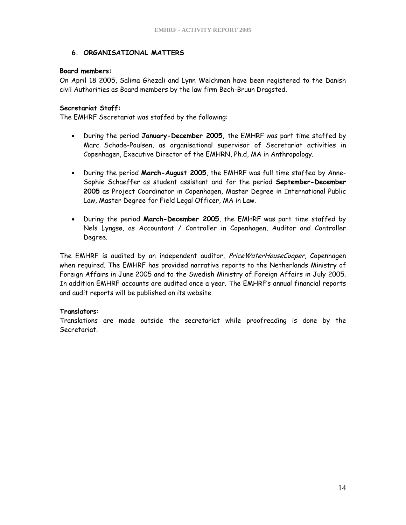## **6. ORGANISATIONAL MATTERS**

### **Board members:**

On April 18 2005, Salima Ghezali and Lynn Welchman have been registered to the Danish civil Authorities as Board members by the law firm Bech-Bruun Dragsted.

### **Secretariat Staff:**

The EMHRF Secretariat was staffed by the following:

- During the period **January-December 2005,** the EMHRF was part time staffed by Marc Schade-Poulsen, as organisational supervisor of Secretariat activities in Copenhagen, Executive Director of the EMHRN, Ph.d, MA in Anthropology.
- During the period **March-August 2005**, the EMHRF was full time staffed by Anne-Sophie Schaeffer as student assistant and for the period **September-December 2005** as Project Coordinator in Copenhagen, Master Degree in International Public Law, Master Degree for Field Legal Officer, MA in Law.
- During the period **March-December 2005**, the EMHRF was part time staffed by Nels Lyngsø, as Accountant / Controller in Copenhagen, Auditor and Controller Degree.

The EMHRF is audited by an independent auditor, PriceWaterHouseCooper, Copenhagen when required. The EMHRF has provided narrative reports to the Netherlands Ministry of Foreign Affairs in June 2005 and to the Swedish Ministry of Foreign Affairs in July 2005. In addition EMHRF accounts are audited once a year. The EMHRF's annual financial reports and audit reports will be published on its website.

### **Translators:**

Translations are made outside the secretariat while proofreading is done by the Secretariat.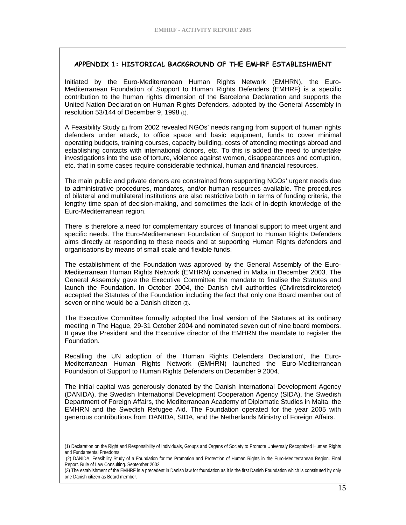#### **APPENDIX 1: HISTORICAL BACKGROUND OF THE EMHRF ESTABLISHMENT**

Initiated by the Euro-Mediterranean Human Rights Network (EMHRN), the Euro-Mediterranean Foundation of Support to Human Rights Defenders (EMHRF) is a specific contribution to the human rights dimension of the Barcelona Declaration and supports the United Nation Declaration on Human Rights Defenders, adopted by the General Assembly in resolution 53/144 of December 9, 1998 (1).

A Feasibility Study (2) from 2002 revealed NGOs' needs ranging from support of human rights defenders under attack, to office space and basic equipment, funds to cover minimal operating budgets, training courses, capacity building, costs of attending meetings abroad and establishing contacts with international donors, etc. To this is added the need to undertake investigations into the use of torture, violence against women, disappearances and corruption, etc. that in some cases require considerable technical, human and financial resources.

The main public and private donors are constrained from supporting NGOs' urgent needs due to administrative procedures, mandates, and/or human resources available. The procedures of bilateral and multilateral institutions are also restrictive both in terms of funding criteria, the lengthy time span of decision-making, and sometimes the lack of in-depth knowledge of the Euro-Mediterranean region.

There is therefore a need for complementary sources of financial support to meet urgent and specific needs. The Euro-Mediterranean Foundation of Support to Human Rights Defenders aims directly at responding to these needs and at supporting Human Rights defenders and organisations by means of small scale and flexible funds.

The establishment of the Foundation was approved by the General Assembly of the Euro-Mediterranean Human Rights Network (EMHRN) convened in Malta in December 2003. The General Assembly gave the Executive Committee the mandate to finalise the Statutes and launch the Foundation. In October 2004, the Danish civil authorities (Civilretsdirektoretet) accepted the Statutes of the Foundation including the fact that only one Board member out of seven or nine would be a Danish citizen (3).

The Executive Committee formally adopted the final version of the Statutes at its ordinary meeting in The Hague, 29-31 October 2004 and nominated seven out of nine board members. It gave the President and the Executive director of the EMHRN the mandate to register the Foundation.

Recalling the UN adoption of the 'Human Rights Defenders Declaration', the Euro-Mediterranean Human Rights Network (EMHRN) launched the Euro-Mediterranean Foundation of Support to Human Rights Defenders on December 9 2004.

The initial capital was generously donated by the Danish International Development Agency (DANIDA), the Swedish International Development Cooperation Agency (SIDA), the Swedish Department of Foreign Affairs, the Mediterranean Academy of Diplomatic Studies in Malta, the EMHRN and the Swedish Refugee Aid. The Foundation operated for the year 2005 with generous contributions from DANIDA, SIDA, and the Netherlands Ministry of Foreign Affairs.

<sup>(1)</sup> Declaration on the Right and Responsibility of Individuals, Groups and Organs of Society to Promote Universaly Recognized Human Rights and Fundamental Freedoms

 <sup>(2)</sup> DANIDA, Feasibility Study of a Foundation for the Promotion and Protection of Human Rights in the Euro-Mediterranean Region. Final Report. Rule of Law Consulting. September 2002

<sup>(3)</sup> The establishment of the EMHRF is a precedent in Danish law for foundation as it is the first Danish Foundation which is constituted by only one Danish citizen as Board member.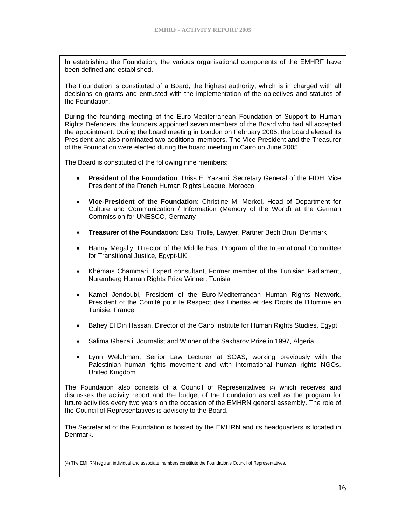In establishing the Foundation, the various organisational components of the EMHRF have been defined and established.

The Foundation is constituted of a Board, the highest authority, which is in charged with all decisions on grants and entrusted with the implementation of the objectives and statutes of the Foundation.

During the founding meeting of the Euro-Mediterranean Foundation of Support to Human Rights Defenders, the founders appointed seven members of the Board who had all accepted the appointment. During the board meeting in London on February 2005, the board elected its President and also nominated two additional members. The Vice-President and the Treasurer of the Foundation were elected during the board meeting in Cairo on June 2005.

The Board is constituted of the following nine members:

- **President of the Foundation**: Driss El Yazami, Secretary General of the FIDH, Vice President of the French Human Rights League, Morocco
- **Vice-President of the Foundation**: Christine M. Merkel, Head of Department for Culture and Communication / Information (Memory of the World) at the German Commission for UNESCO, Germany
- **Treasurer of the Foundation**: Eskil Trolle, Lawyer, Partner Bech Brun, Denmark
- Hanny Megally, Director of the Middle East Program of the International Committee for Transitional Justice, Egypt-UK
- Khémaïs Chammari, Expert consultant, Former member of the Tunisian Parliament, Nuremberg Human Rights Prize Winner, Tunisia
- Kamel Jendoubi, President of the Euro-Mediterranean Human Rights Network, President of the Comité pour le Respect des Libertés et des Droits de l'Homme en Tunisie, France
- Bahey El Din Hassan, Director of the Cairo Institute for Human Rights Studies, Egypt
- Salima Ghezali, Journalist and Winner of the Sakharov Prize in 1997, Algeria
- Lynn Welchman, Senior Law Lecturer at SOAS, working previously with the Palestinian human rights movement and with international human rights NGOs, United Kingdom.

The Foundation also consists of a Council of Representatives (4) which receives and discusses the activity report and the budget of the Foundation as well as the program for future activities every two years on the occasion of the EMHRN general assembly. The role of the Council of Representatives is advisory to the Board.

The Secretariat of the Foundation is hosted by the EMHRN and its headquarters is located in Denmark.

<sup>(4)</sup> The EMHRN regular, individual and associate members constitute the Foundation's Council of Representatives.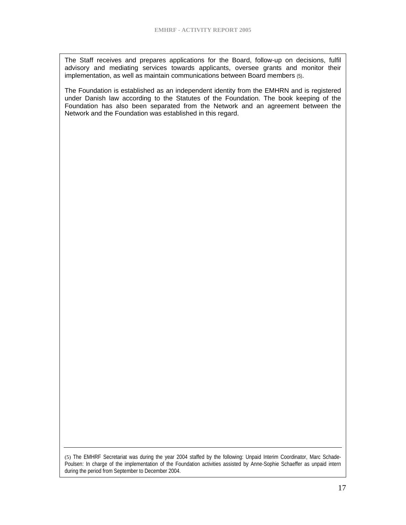The Staff receives and prepares applications for the Board, follow-up on decisions, fulfil advisory and mediating services towards applicants, oversee grants and monitor their implementation, as well as maintain communications between Board members (5).

The Foundation is established as an independent identity from the EMHRN and is registered under Danish law according to the Statutes of the Foundation. The book keeping of the Foundation has also been separated from the Network and an agreement between the Network and the Foundation was established in this regard.

(5) The EMHRF Secretariat was during the year 2004 staffed by the following: Unpaid Interim Coordinator, Marc Schade-Poulsen: In charge of the implementation of the Foundation activities assisted by Anne-Sophie Schaeffer as unpaid intern during the period from September to December 2004.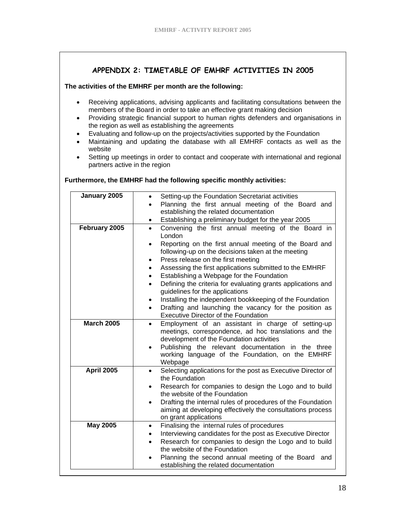## **APPENDIX 2: TIMETABLE OF EMHRF ACTIVITIES IN 2005**

#### **The activities of the EMHRF per month are the following:**

- Receiving applications, advising applicants and facilitating consultations between the members of the Board in order to take an effective grant making decision
- Providing strategic financial support to human rights defenders and organisations in the region as well as establishing the agreements
- Evaluating and follow-up on the projects/activities supported by the Foundation
- Maintaining and updating the database with all EMHRF contacts as well as the website
- Setting up meetings in order to contact and cooperate with international and regional partners active in the region

#### **Furthermore, the EMHRF had the following specific monthly activities:**

| January 2005      | Setting-up the Foundation Secretariat activities<br>$\bullet$                                                             |
|-------------------|---------------------------------------------------------------------------------------------------------------------------|
|                   | Planning the first annual meeting of the Board and<br>$\bullet$                                                           |
|                   | establishing the related documentation                                                                                    |
|                   | Establishing a preliminary budget for the year 2005<br>$\bullet$                                                          |
| February 2005     | Convening the first annual meeting of the Board in<br>$\bullet$<br>London                                                 |
|                   | Reporting on the first annual meeting of the Board and<br>$\bullet$<br>following-up on the decisions taken at the meeting |
|                   | Press release on the first meeting<br>$\bullet$                                                                           |
|                   | Assessing the first applications submitted to the EMHRF<br>$\bullet$                                                      |
|                   | Establishing a Webpage for the Foundation<br>$\bullet$                                                                    |
|                   | Defining the criteria for evaluating grants applications and<br>$\bullet$                                                 |
|                   | guidelines for the applications                                                                                           |
|                   | Installing the independent bookkeeping of the Foundation<br>$\bullet$                                                     |
|                   | Drafting and launching the vacancy for the position as<br>$\bullet$                                                       |
|                   | <b>Executive Director of the Foundation</b>                                                                               |
| <b>March 2005</b> | Employment of an assistant in charge of setting-up<br>$\bullet$                                                           |
|                   | meetings, correspondence, ad hoc translations and the                                                                     |
|                   | development of the Foundation activities                                                                                  |
|                   | Publishing the relevant documentation in the three<br>$\bullet$                                                           |
|                   | working language of the Foundation, on the EMHRF                                                                          |
| <b>April 2005</b> | Webpage                                                                                                                   |
|                   | Selecting applications for the post as Executive Director of<br>٠<br>the Foundation                                       |
|                   | Research for companies to design the Logo and to build<br>$\bullet$                                                       |
|                   | the website of the Foundation                                                                                             |
|                   | Drafting the internal rules of procedures of the Foundation<br>$\bullet$                                                  |
|                   | aiming at developing effectively the consultations process                                                                |
|                   | on grant applications                                                                                                     |
| <b>May 2005</b>   | Finalising the internal rules of procedures<br>$\bullet$                                                                  |
|                   | Interviewing candidates for the post as Executive Director<br>$\bullet$                                                   |
|                   | Research for companies to design the Logo and to build<br>the website of the Foundation                                   |
|                   | Planning the second annual meeting of the Board and<br>$\bullet$                                                          |
|                   | establishing the related documentation                                                                                    |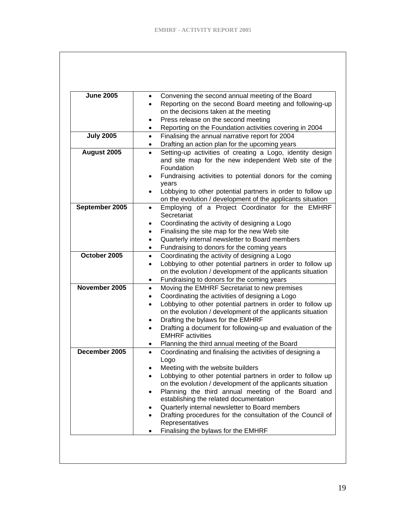| <b>June 2005</b> | $\bullet$ | Convening the second annual meeting of the Board                   |
|------------------|-----------|--------------------------------------------------------------------|
|                  |           | Reporting on the second Board meeting and following-up             |
|                  |           | on the decisions taken at the meeting                              |
|                  | $\bullet$ | Press release on the second meeting                                |
|                  | ٠         | Reporting on the Foundation activities covering in 2004            |
| <b>July 2005</b> | $\bullet$ | Finalising the annual narrative report for 2004                    |
|                  | $\bullet$ | Drafting an action plan for the upcoming years                     |
| August 2005      | $\bullet$ | Setting-up activities of creating a Logo, identity design          |
|                  |           | and site map for the new independent Web site of the<br>Foundation |
|                  | $\bullet$ | Fundraising activities to potential donors for the coming          |
|                  |           | years                                                              |
|                  | $\bullet$ | Lobbying to other potential partners in order to follow up         |
|                  |           | on the evolution / development of the applicants situation         |
| September 2005   | $\bullet$ | Employing of a Project Coordinator for the EMHRF                   |
|                  |           | Secretariat                                                        |
|                  | $\bullet$ | Coordinating the activity of designing a Logo                      |
|                  | $\bullet$ | Finalising the site map for the new Web site                       |
|                  | $\bullet$ | Quarterly internal newsletter to Board members                     |
|                  | ٠         | Fundraising to donors for the coming years                         |
| October 2005     | $\bullet$ | Coordinating the activity of designing a Logo                      |
|                  | ٠         | Lobbying to other potential partners in order to follow up         |
|                  |           | on the evolution / development of the applicants situation         |
|                  | ٠         | Fundraising to donors for the coming years                         |
| November 2005    | $\bullet$ | Moving the EMHRF Secretariat to new premises                       |
|                  | $\bullet$ | Coordinating the activities of designing a Logo                    |
|                  | $\bullet$ | Lobbying to other potential partners in order to follow up         |
|                  |           | on the evolution / development of the applicants situation         |
|                  | $\bullet$ | Drafting the bylaws for the EMHRF                                  |
|                  | $\bullet$ | Drafting a document for following-up and evaluation of the         |
|                  |           | <b>EMHRF</b> activities                                            |
|                  | $\bullet$ | Planning the third annual meeting of the Board                     |
| December 2005    | $\bullet$ | Coordinating and finalising the activities of designing a<br>Logo  |
|                  |           | Meeting with the website builders                                  |
|                  | $\bullet$ | Lobbying to other potential partners in order to follow up         |
|                  |           | on the evolution / development of the applicants situation         |
|                  | $\bullet$ | Planning the third annual meeting of the Board and                 |
|                  |           | establishing the related documentation                             |
|                  | ٠         | Quarterly internal newsletter to Board members                     |
|                  | ٠         | Drafting procedures for the consultation of the Council of         |
|                  |           | Representatives                                                    |
|                  |           | Finalising the bylaws for the EMHRF                                |
|                  |           |                                                                    |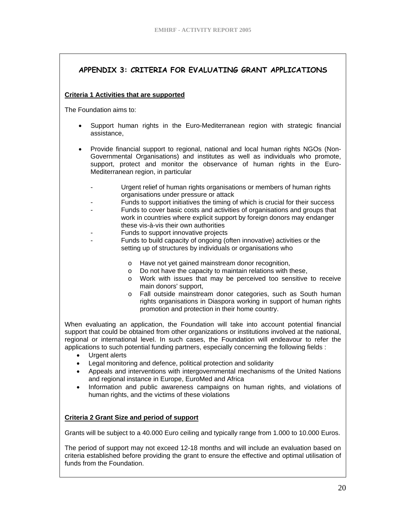# **APPENDIX 3: CRITERIA FOR EVALUATING GRANT APPLICATIONS**

### **Criteria 1 Activities that are supported**

The Foundation aims to:

- Support human rights in the Euro-Mediterranean region with strategic financial assistance,
- Provide financial support to regional, national and local human rights NGOs (Non-Governmental Organisations) and institutes as well as individuals who promote, support, protect and monitor the observance of human rights in the Euro-Mediterranean region, in particular
	- Urgent relief of human rights organisations or members of human rights organisations under pressure or attack
	- Funds to support initiatives the timing of which is crucial for their success
	- Funds to cover basic costs and activities of organisations and groups that work in countries where explicit support by foreign donors may endanger these vis-à-vis their own authorities
	- Funds to support innovative projects
	- Funds to build capacity of ongoing (often innovative) activities or the setting up of structures by individuals or organisations who
		- o Have not yet gained mainstream donor recognition,
		- o Do not have the capacity to maintain relations with these,
		- o Work with issues that may be perceived too sensitive to receive main donors' support,
		- o Fall outside mainstream donor categories, such as South human rights organisations in Diaspora working in support of human rights promotion and protection in their home country.

When evaluating an application, the Foundation will take into account potential financial support that could be obtained from other organizations or institutions involved at the national, regional or international level. In such cases, the Foundation will endeavour to refer the applications to such potential funding partners, especially concerning the following fields :

- Urgent alerts
- Legal monitoring and defence, political protection and solidarity
- Appeals and interventions with intergovernmental mechanisms of the United Nations and regional instance in Europe, EuroMed and Africa
- Information and public awareness campaigns on human rights, and violations of human rights, and the victims of these violations

### **Criteria 2 Grant Size and period of support**

Grants will be subject to a 40.000 Euro ceiling and typically range from 1.000 to 10.000 Euros.

The period of support may not exceed 12-18 months and will include an evaluation based on criteria established before providing the grant to ensure the effective and optimal utilisation of funds from the Foundation.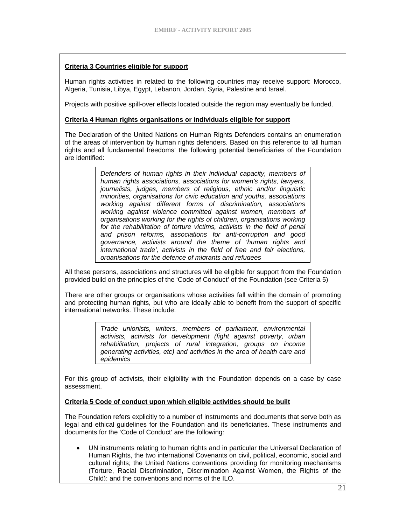#### **Criteria 3 Countries eligible for support**

Human rights activities in related to the following countries may receive support: Morocco, Algeria, Tunisia, Libya, Egypt, Lebanon, Jordan, Syria, Palestine and Israel.

Projects with positive spill-over effects located outside the region may eventually be funded.

#### **Criteria 4 Human rights organisations or individuals eligible for support**

The Declaration of the United Nations on Human Rights Defenders contains an enumeration of the areas of intervention by human rights defenders. Based on this reference to 'all human rights and all fundamental freedoms' the following potential beneficiaries of the Foundation are identified:

> *Defenders of human rights in their individual capacity, members of human rights associations, associations for women's rights, lawyers, journalists, judges, members of religious, ethnic and/or linguistic minorities, organisations for civic education and youths, associations working against different forms of discrimination, associations working against violence committed against women, members of organisations working for the rights of children, organisations working for the rehabilitation of torture victims, activists in the field of penal and prison reforms, associations for anti-corruption and good governance, activists around the theme of 'human rights and international trade', activists in the field of free and fair elections, organisations for the defence of migrants and refugees*

All these persons, associations and structures will be eligible for support from the Foundation provided build on the principles of the 'Code of Conduct' of the Foundation (see Criteria 5)

There are other groups or organisations whose activities fall within the domain of promoting and protecting human rights, but who are ideally able to benefit from the support of specific international networks. These include:

> *Trade unionists, writers, members of parliament, environmental activists, activists for development (fight against poverty, urban rehabilitation, projects of rural integration, groups on income generating activities, etc) and activities in the area of health care and epidemics*

For this group of activists, their eligibility with the Foundation depends on a case by case assessment.

#### **Criteria 5 Code of conduct upon which eligible activities should be built**

The Foundation refers explicitly to a number of instruments and documents that serve both as legal and ethical guidelines for the Foundation and its beneficiaries. These instruments and documents for the 'Code of Conduct' are the following:

• UN instruments relating to human rights and in particular the Universal Declaration of Human Rights, the two international Covenants on civil, political, economic, social and cultural rights; the United Nations conventions providing for monitoring mechanisms (Torture, Racial Discrimination, Discrimination Against Women, the Rights of the Child); and the conventions and norms of the ILO.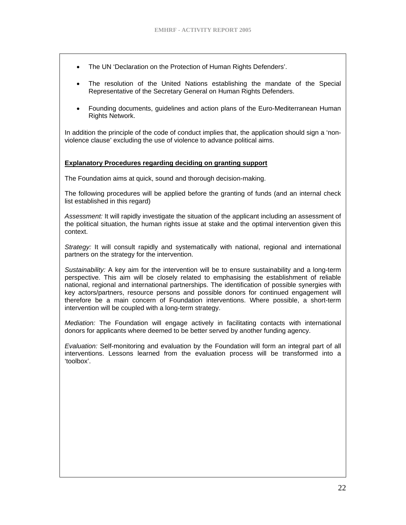- The UN 'Declaration on the Protection of Human Rights Defenders'.
- The resolution of the United Nations establishing the mandate of the Special Representative of the Secretary General on Human Rights Defenders.
- Founding documents, guidelines and action plans of the Euro-Mediterranean Human Rights Network.

In addition the principle of the code of conduct implies that, the application should sign a 'nonviolence clause' excluding the use of violence to advance political aims.

#### **Explanatory Procedures regarding deciding on granting support**

The Foundation aims at quick, sound and thorough decision-making.

The following procedures will be applied before the granting of funds (and an internal check list established in this regard)

*Assessment:* It will rapidly investigate the situation of the applicant including an assessment of the political situation, the human rights issue at stake and the optimal intervention given this context.

*Strategy:* It will consult rapidly and systematically with national, regional and international partners on the strategy for the intervention.

*Sustainability:* A key aim for the intervention will be to ensure sustainability and a long-term perspective. This aim will be closely related to emphasising the establishment of reliable national, regional and international partnerships. The identification of possible synergies with key actors/partners, resource persons and possible donors for continued engagement will therefore be a main concern of Foundation interventions. Where possible, a short-term intervention will be coupled with a long-term strategy.

*Mediation:* The Foundation will engage actively in facilitating contacts with international donors for applicants where deemed to be better served by another funding agency.

*Evaluation:* Self-monitoring and evaluation by the Foundation will form an integral part of all interventions. Lessons learned from the evaluation process will be transformed into a 'toolbox'.